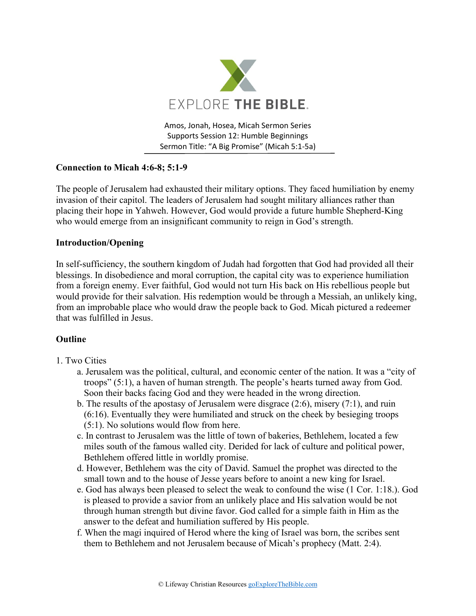

Amos, Jonah, Hosea, Micah Sermon Series Supports Session 12: Humble Beginnings Sermon Title: "A Big Promise" (Micah 5:1-5a)

# **Connection to Micah 4:6-8; 5:1-9**

The people of Jerusalem had exhausted their military options. They faced humiliation by enemy invasion of their capitol. The leaders of Jerusalem had sought military alliances rather than placing their hope in Yahweh. However, God would provide a future humble Shepherd-King who would emerge from an insignificant community to reign in God's strength.

## **Introduction/Opening**

In self-sufficiency, the southern kingdom of Judah had forgotten that God had provided all their blessings. In disobedience and moral corruption, the capital city was to experience humiliation from a foreign enemy. Ever faithful, God would not turn His back on His rebellious people but would provide for their salvation. His redemption would be through a Messiah, an unlikely king, from an improbable place who would draw the people back to God. Micah pictured a redeemer that was fulfilled in Jesus.

#### **Outline**

- 1. Two Cities
	- a. Jerusalem was the political, cultural, and economic center of the nation. It was a "city of troops" (5:1), a haven of human strength. The people's hearts turned away from God. Soon their backs facing God and they were headed in the wrong direction.
	- b. The results of the apostasy of Jerusalem were disgrace (2:6), misery (7:1), and ruin (6:16). Eventually they were humiliated and struck on the cheek by besieging troops (5:1). No solutions would flow from here.
	- c. In contrast to Jerusalem was the little of town of bakeries, Bethlehem, located a few miles south of the famous walled city. Derided for lack of culture and political power, Bethlehem offered little in worldly promise.
	- d. However, Bethlehem was the city of David. Samuel the prophet was directed to the small town and to the house of Jesse years before to anoint a new king for Israel.
	- e. God has always been pleased to select the weak to confound the wise (1 Cor. 1:18.). God is pleased to provide a savior from an unlikely place and His salvation would be not through human strength but divine favor. God called for a simple faith in Him as the answer to the defeat and humiliation suffered by His people.
	- f. When the magi inquired of Herod where the king of Israel was born, the scribes sent them to Bethlehem and not Jerusalem because of Micah's prophecy (Matt. 2:4).